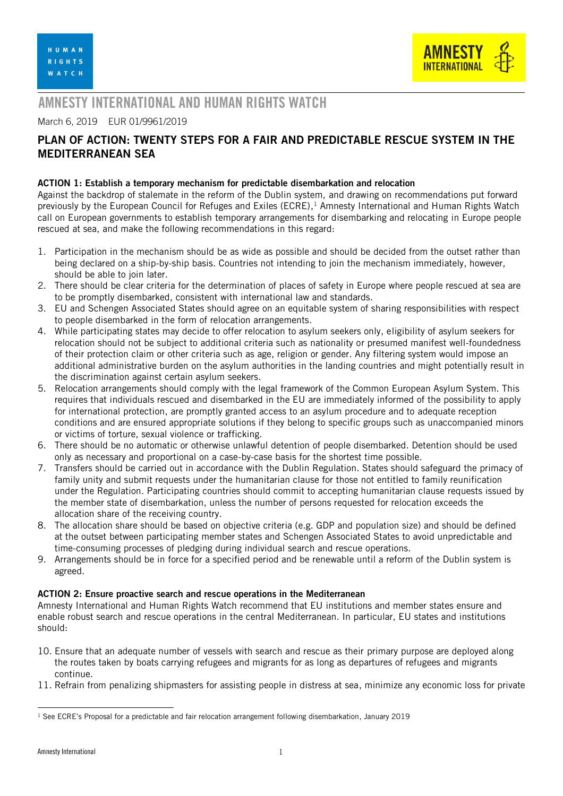

# AMNESTY INTERNATIONAL AND HUMAN RIGHTS WATCH

### March 6, 2019 EUR 01/9961/2019

## PLAN OF ACTION: TWENTY STEPS FOR A FAIR AND PREDICTABLE RESCUE SYSTEM IN THE MEDITERRANEAN SEA

#### ACTION 1: Establish a temporary mechanism for predictable disembarkation and relocation

Against the backdrop of stalemate in the reform of the Dublin system, and drawing on recommendations put forward previously by the European Council for Refuges and Exiles (ECRE), <sup>1</sup> Amnesty International and Human Rights Watch call on European governments to establish temporary arrangements for disembarking and relocating in Europe people rescued at sea, and make the following recommendations in this regard:

- 1. Participation in the mechanism should be as wide as possible and should be decided from the outset rather than being declared on a ship-by-ship basis. Countries not intending to join the mechanism immediately, however, should be able to join later.
- 2. There should be clear criteria for the determination of places of safety in Europe where people rescued at sea are to be promptly disembarked, consistent with international law and standards.
- 3. EU and Schengen Associated States should agree on an equitable system of sharing responsibilities with respect to people disembarked in the form of relocation arrangements.
- 4. While participating states may decide to offer relocation to asylum seekers only, eligibility of asylum seekers for relocation should not be subject to additional criteria such as nationality or presumed manifest well-foundedness of their protection claim or other criteria such as age, religion or gender. Any filtering system would impose an additional administrative burden on the asylum authorities in the landing countries and might potentially result in the discrimination against certain asylum seekers.
- 5. Relocation arrangements should comply with the legal framework of the Common European Asylum System. This requires that individuals rescued and disembarked in the EU are immediately informed of the possibility to apply for international protection, are promptly granted access to an asylum procedure and to adequate reception conditions and are ensured appropriate solutions if they belong to specific groups such as unaccompanied minors or victims of torture, sexual violence or trafficking.
- 6. There should be no automatic or otherwise unlawful detention of people disembarked. Detention should be used only as necessary and proportional on a case-by-case basis for the shortest time possible.
- 7. Transfers should be carried out in accordance with the Dublin Regulation. States should safeguard the primacy of family unity and submit requests under the humanitarian clause for those not entitled to family reunification under the Regulation. Participating countries should commit to accepting humanitarian clause requests issued by the member state of disembarkation, unless the number of persons requested for relocation exceeds the allocation share of the receiving country.
- 8. The allocation share should be based on objective criteria (e.g. GDP and population size) and should be defined at the outset between participating member states and Schengen Associated States to avoid unpredictable and time-consuming processes of pledging during individual search and rescue operations.
- 9. Arrangements should be in force for a specified period and be renewable until a reform of the Dublin system is agreed.

#### ACTION 2: Ensure proactive search and rescue operations in the Mediterranean

Amnesty International and Human Rights Watch recommend that EU institutions and member states ensure and enable robust search and rescue operations in the central Mediterranean. In particular, EU states and institutions should:

- 10. Ensure that an adequate number of vessels with search and rescue as their primary purpose are deployed along the routes taken by boats carrying refugees and migrants for as long as departures of refugees and migrants continue.
- 11. Refrain from penalizing shipmasters for assisting people in distress at sea, minimize any economic loss for private

-

 $1$  See [ECRE's Proposal for a predictable and fair relocation arrangement following disembarkation](https://www.ecre.org/wp-content/uploads/2019/01/Policy-Papers-06.pdf), January 2019